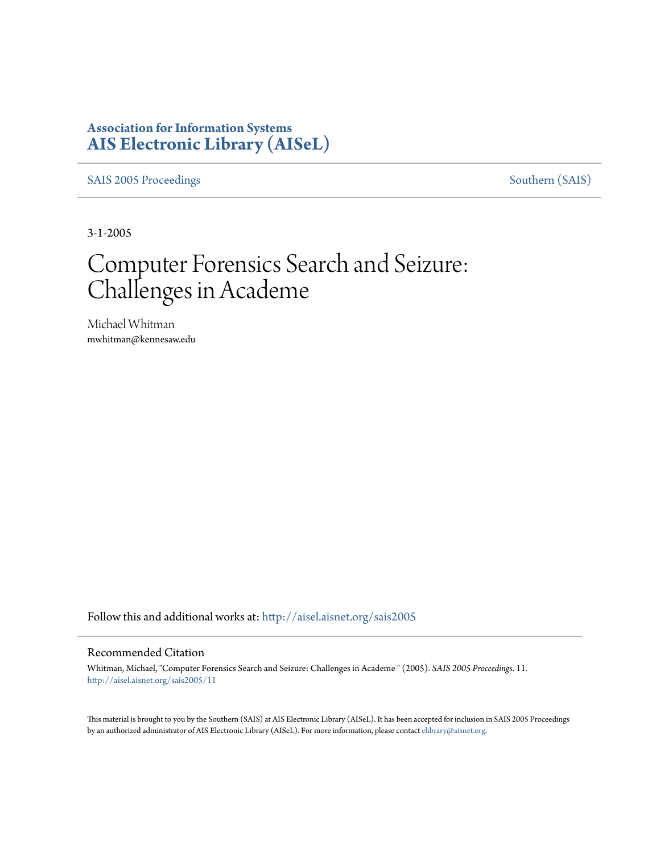## **Association for Information Systems [AIS Electronic Library \(AISeL\)](http://aisel.aisnet.org?utm_source=aisel.aisnet.org%2Fsais2005%2F11&utm_medium=PDF&utm_campaign=PDFCoverPages)**

[SAIS 2005 Proceedings](http://aisel.aisnet.org/sais2005?utm_source=aisel.aisnet.org%2Fsais2005%2F11&utm_medium=PDF&utm_campaign=PDFCoverPages) [Southern \(SAIS\)](http://aisel.aisnet.org/sais?utm_source=aisel.aisnet.org%2Fsais2005%2F11&utm_medium=PDF&utm_campaign=PDFCoverPages)

3-1-2005

# Computer Forensics Search and Seizure: Challenges in Academe

Michael Whitman mwhitman@kennesaw.edu

Follow this and additional works at: [http://aisel.aisnet.org/sais2005](http://aisel.aisnet.org/sais2005?utm_source=aisel.aisnet.org%2Fsais2005%2F11&utm_medium=PDF&utm_campaign=PDFCoverPages)

#### Recommended Citation

Whitman, Michael, "Computer Forensics Search and Seizure: Challenges in Academe " (2005). *SAIS 2005 Proceedings*. 11. [http://aisel.aisnet.org/sais2005/11](http://aisel.aisnet.org/sais2005/11?utm_source=aisel.aisnet.org%2Fsais2005%2F11&utm_medium=PDF&utm_campaign=PDFCoverPages)

This material is brought to you by the Southern (SAIS) at AIS Electronic Library (AISeL). It has been accepted for inclusion in SAIS 2005 Proceedings by an authorized administrator of AIS Electronic Library (AISeL). For more information, please contact [elibrary@aisnet.org](mailto:elibrary@aisnet.org%3E).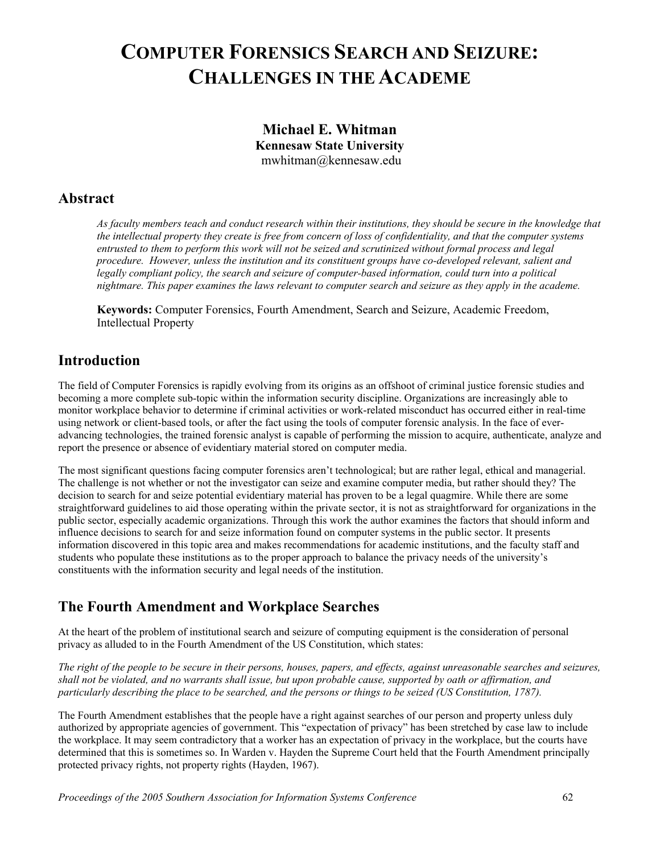## **COMPUTER FORENSICS SEARCH AND SEIZURE: CHALLENGES IN THE ACADEME**

### **Michael E. Whitman Kennesaw State University**  mwhitman@kennesaw.edu

## **Abstract**

*As faculty members teach and conduct research within their institutions, they should be secure in the knowledge that the intellectual property they create is free from concern of loss of confidentiality, and that the computer systems entrusted to them to perform this work will not be seized and scrutinized without formal process and legal procedure. However, unless the institution and its constituent groups have co-developed relevant, salient and legally compliant policy, the search and seizure of computer-based information, could turn into a political nightmare. This paper examines the laws relevant to computer search and seizure as they apply in the academe.* 

**Keywords:** Computer Forensics, Fourth Amendment, Search and Seizure, Academic Freedom, Intellectual Property

## **Introduction**

The field of Computer Forensics is rapidly evolving from its origins as an offshoot of criminal justice forensic studies and becoming a more complete sub-topic within the information security discipline. Organizations are increasingly able to monitor workplace behavior to determine if criminal activities or work-related misconduct has occurred either in real-time using network or client-based tools, or after the fact using the tools of computer forensic analysis. In the face of everadvancing technologies, the trained forensic analyst is capable of performing the mission to acquire, authenticate, analyze and report the presence or absence of evidentiary material stored on computer media.

The most significant questions facing computer forensics aren't technological; but are rather legal, ethical and managerial. The challenge is not whether or not the investigator can seize and examine computer media, but rather should they? The decision to search for and seize potential evidentiary material has proven to be a legal quagmire. While there are some straightforward guidelines to aid those operating within the private sector, it is not as straightforward for organizations in the public sector, especially academic organizations. Through this work the author examines the factors that should inform and influence decisions to search for and seize information found on computer systems in the public sector. It presents information discovered in this topic area and makes recommendations for academic institutions, and the faculty staff and students who populate these institutions as to the proper approach to balance the privacy needs of the university's constituents with the information security and legal needs of the institution.

## **The Fourth Amendment and Workplace Searches**

At the heart of the problem of institutional search and seizure of computing equipment is the consideration of personal privacy as alluded to in the Fourth Amendment of the US Constitution, which states:

*The right of the people to be secure in their persons, houses, papers, and effects, against unreasonable searches and seizures, shall not be violated, and no warrants shall issue, but upon probable cause, supported by oath or affirmation, and particularly describing the place to be searched, and the persons or things to be seized (US Constitution, 1787).* 

The Fourth Amendment establishes that the people have a right against searches of our person and property unless duly authorized by appropriate agencies of government. This "expectation of privacy" has been stretched by case law to include the workplace. It may seem contradictory that a worker has an expectation of privacy in the workplace, but the courts have determined that this is sometimes so. In Warden v. Hayden the Supreme Court held that the Fourth Amendment principally protected privacy rights, not property rights (Hayden, 1967).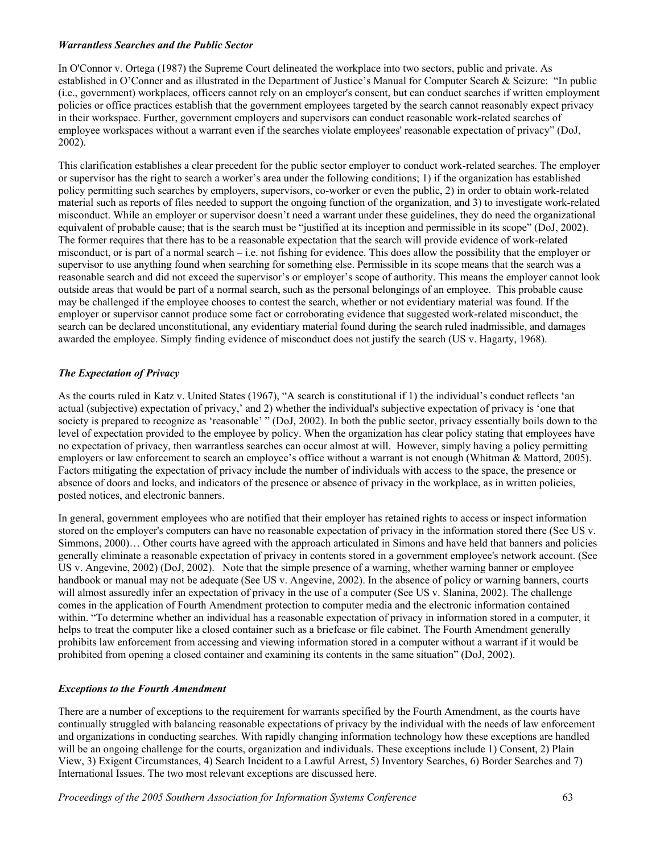#### *Warrantless Searches and the Public Sector*

In O'Connor v. Ortega (1987) the Supreme Court delineated the workplace into two sectors, public and private. As established in O'Conner and as illustrated in the Department of Justice's Manual for Computer Search & Seizure: "In public (i.e., government) workplaces, officers cannot rely on an employer's consent, but can conduct searches if written employment policies or office practices establish that the government employees targeted by the search cannot reasonably expect privacy in their workspace. Further, government employers and supervisors can conduct reasonable work-related searches of employee workspaces without a warrant even if the searches violate employees' reasonable expectation of privacy" (DoJ, 2002).

This clarification establishes a clear precedent for the public sector employer to conduct work-related searches. The employer or supervisor has the right to search a worker's area under the following conditions; 1) if the organization has established policy permitting such searches by employers, supervisors, co-worker or even the public, 2) in order to obtain work-related material such as reports of files needed to support the ongoing function of the organization, and 3) to investigate work-related misconduct. While an employer or supervisor doesn't need a warrant under these guidelines, they do need the organizational equivalent of probable cause; that is the search must be "justified at its inception and permissible in its scope" (DoJ, 2002). The former requires that there has to be a reasonable expectation that the search will provide evidence of work-related misconduct, or is part of a normal search – i.e. not fishing for evidence. This does allow the possibility that the employer or supervisor to use anything found when searching for something else. Permissible in its scope means that the search was a reasonable search and did not exceed the supervisor's or employer's scope of authority. This means the employer cannot look outside areas that would be part of a normal search, such as the personal belongings of an employee. This probable cause may be challenged if the employee chooses to contest the search, whether or not evidentiary material was found. If the employer or supervisor cannot produce some fact or corroborating evidence that suggested work-related misconduct, the search can be declared unconstitutional, any evidentiary material found during the search ruled inadmissible, and damages awarded the employee. Simply finding evidence of misconduct does not justify the search (US v. Hagarty, 1968).

#### *The Expectation of Privacy*

As the courts ruled in Katz v. United States (1967), "A search is constitutional if 1) the individual's conduct reflects 'an actual (subjective) expectation of privacy,' and 2) whether the individual's subjective expectation of privacy is 'one that society is prepared to recognize as 'reasonable' " (DoJ, 2002). In both the public sector, privacy essentially boils down to the level of expectation provided to the employee by policy. When the organization has clear policy stating that employees have no expectation of privacy, then warrantless searches can occur almost at will. However, simply having a policy permitting employers or law enforcement to search an employee's office without a warrant is not enough (Whitman & Mattord, 2005). Factors mitigating the expectation of privacy include the number of individuals with access to the space, the presence or absence of doors and locks, and indicators of the presence or absence of privacy in the workplace, as in written policies, posted notices, and electronic banners.

In general, government employees who are notified that their employer has retained rights to access or inspect information stored on the employer's computers can have no reasonable expectation of privacy in the information stored there (See US v. Simmons, 2000)… Other courts have agreed with the approach articulated in Simons and have held that banners and policies generally eliminate a reasonable expectation of privacy in contents stored in a government employee's network account. (See US v. Angevine, 2002) (DoJ, 2002). Note that the simple presence of a warning, whether warning banner or employee handbook or manual may not be adequate (See US v. Angevine, 2002). In the absence of policy or warning banners, courts will almost assuredly infer an expectation of privacy in the use of a computer (See US v. Slanina, 2002). The challenge comes in the application of Fourth Amendment protection to computer media and the electronic information contained within. "To determine whether an individual has a reasonable expectation of privacy in information stored in a computer, it helps to treat the computer like a closed container such as a briefcase or file cabinet. The Fourth Amendment generally prohibits law enforcement from accessing and viewing information stored in a computer without a warrant if it would be prohibited from opening a closed container and examining its contents in the same situation" (DoJ, 2002).

#### *Exceptions to the Fourth Amendment*

There are a number of exceptions to the requirement for warrants specified by the Fourth Amendment, as the courts have continually struggled with balancing reasonable expectations of privacy by the individual with the needs of law enforcement and organizations in conducting searches. With rapidly changing information technology how these exceptions are handled will be an ongoing challenge for the courts, organization and individuals. These exceptions include 1) Consent, 2) Plain View, 3) Exigent Circumstances, 4) Search Incident to a Lawful Arrest, 5) Inventory Searches, 6) Border Searches and 7) International Issues. The two most relevant exceptions are discussed here.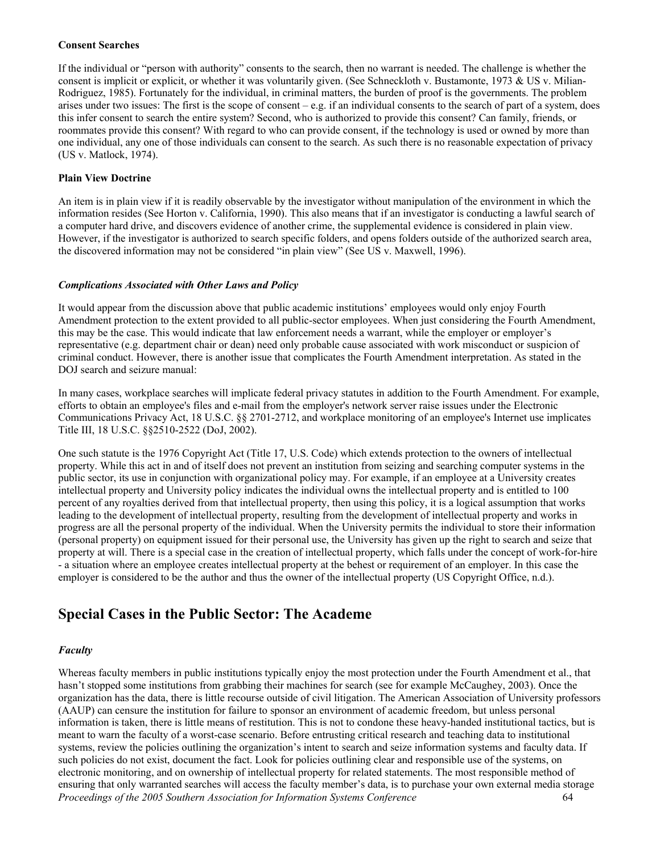#### **Consent Searches**

If the individual or "person with authority" consents to the search, then no warrant is needed. The challenge is whether the consent is implicit or explicit, or whether it was voluntarily given. (See Schneckloth v. Bustamonte, 1973 & US v. Milian-Rodriguez, 1985). Fortunately for the individual, in criminal matters, the burden of proof is the governments. The problem arises under two issues: The first is the scope of consent – e.g. if an individual consents to the search of part of a system, does this infer consent to search the entire system? Second, who is authorized to provide this consent? Can family, friends, or roommates provide this consent? With regard to who can provide consent, if the technology is used or owned by more than one individual, any one of those individuals can consent to the search. As such there is no reasonable expectation of privacy (US v. Matlock, 1974).

#### **Plain View Doctrine**

An item is in plain view if it is readily observable by the investigator without manipulation of the environment in which the information resides (See Horton v. California, 1990). This also means that if an investigator is conducting a lawful search of a computer hard drive, and discovers evidence of another crime, the supplemental evidence is considered in plain view. However, if the investigator is authorized to search specific folders, and opens folders outside of the authorized search area, the discovered information may not be considered "in plain view" (See US v. Maxwell, 1996).

#### *Complications Associated with Other Laws and Policy*

It would appear from the discussion above that public academic institutions' employees would only enjoy Fourth Amendment protection to the extent provided to all public-sector employees. When just considering the Fourth Amendment, this may be the case. This would indicate that law enforcement needs a warrant, while the employer or employer's representative (e.g. department chair or dean) need only probable cause associated with work misconduct or suspicion of criminal conduct. However, there is another issue that complicates the Fourth Amendment interpretation. As stated in the DOJ search and seizure manual:

In many cases, workplace searches will implicate federal privacy statutes in addition to the Fourth Amendment. For example, efforts to obtain an employee's files and e-mail from the employer's network server raise issues under the Electronic Communications Privacy Act, 18 U.S.C. §§ 2701-2712, and workplace monitoring of an employee's Internet use implicates Title III, 18 U.S.C. §§2510-2522 (DoJ, 2002).

One such statute is the 1976 Copyright Act (Title 17, U.S. Code) which extends protection to the owners of intellectual property. While this act in and of itself does not prevent an institution from seizing and searching computer systems in the public sector, its use in conjunction with organizational policy may. For example, if an employee at a University creates intellectual property and University policy indicates the individual owns the intellectual property and is entitled to 100 percent of any royalties derived from that intellectual property, then using this policy, it is a logical assumption that works leading to the development of intellectual property, resulting from the development of intellectual property and works in progress are all the personal property of the individual. When the University permits the individual to store their information (personal property) on equipment issued for their personal use, the University has given up the right to search and seize that property at will. There is a special case in the creation of intellectual property, which falls under the concept of work-for-hire - a situation where an employee creates intellectual property at the behest or requirement of an employer. In this case the employer is considered to be the author and thus the owner of the intellectual property (US Copyright Office, n.d.).

## **Special Cases in the Public Sector: The Academe**

#### *Faculty*

*Proceedings of the 2005 Southern Association for Information Systems Conference* 64 Whereas faculty members in public institutions typically enjoy the most protection under the Fourth Amendment et al., that hasn't stopped some institutions from grabbing their machines for search (see for example McCaughey, 2003). Once the organization has the data, there is little recourse outside of civil litigation. The American Association of University professors (AAUP) can censure the institution for failure to sponsor an environment of academic freedom, but unless personal information is taken, there is little means of restitution. This is not to condone these heavy-handed institutional tactics, but is meant to warn the faculty of a worst-case scenario. Before entrusting critical research and teaching data to institutional systems, review the policies outlining the organization's intent to search and seize information systems and faculty data. If such policies do not exist, document the fact. Look for policies outlining clear and responsible use of the systems, on electronic monitoring, and on ownership of intellectual property for related statements. The most responsible method of ensuring that only warranted searches will access the faculty member's data, is to purchase your own external media storage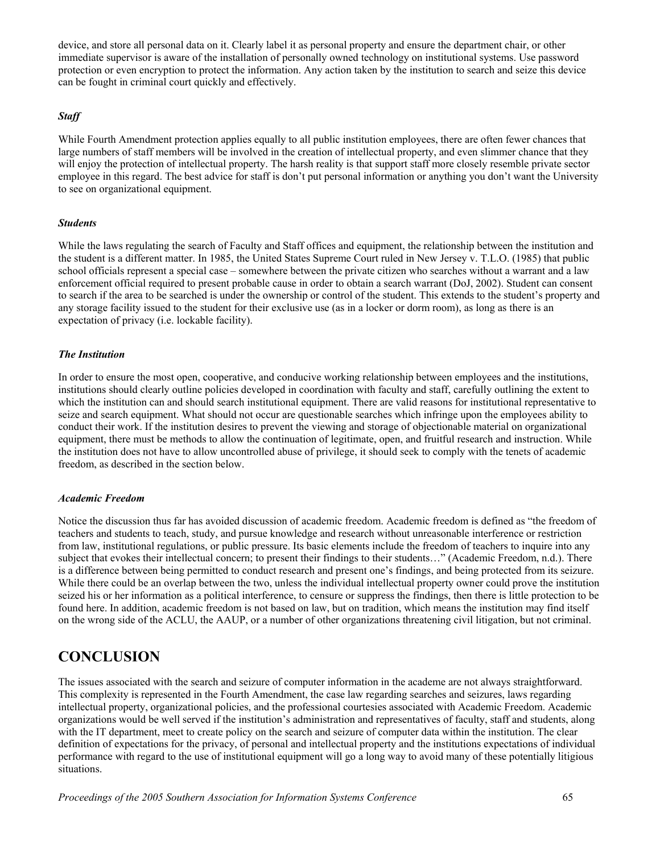device, and store all personal data on it. Clearly label it as personal property and ensure the department chair, or other immediate supervisor is aware of the installation of personally owned technology on institutional systems. Use password protection or even encryption to protect the information. Any action taken by the institution to search and seize this device can be fought in criminal court quickly and effectively.

#### *Staff*

While Fourth Amendment protection applies equally to all public institution employees, there are often fewer chances that large numbers of staff members will be involved in the creation of intellectual property, and even slimmer chance that they will enjoy the protection of intellectual property. The harsh reality is that support staff more closely resemble private sector employee in this regard. The best advice for staff is don't put personal information or anything you don't want the University to see on organizational equipment.

#### *Students*

While the laws regulating the search of Faculty and Staff offices and equipment, the relationship between the institution and the student is a different matter. In 1985, the United States Supreme Court ruled in New Jersey v. T.L.O. (1985) that public school officials represent a special case – somewhere between the private citizen who searches without a warrant and a law enforcement official required to present probable cause in order to obtain a search warrant (DoJ, 2002). Student can consent to search if the area to be searched is under the ownership or control of the student. This extends to the student's property and any storage facility issued to the student for their exclusive use (as in a locker or dorm room), as long as there is an expectation of privacy (i.e. lockable facility).

#### *The Institution*

In order to ensure the most open, cooperative, and conducive working relationship between employees and the institutions, institutions should clearly outline policies developed in coordination with faculty and staff, carefully outlining the extent to which the institution can and should search institutional equipment. There are valid reasons for institutional representative to seize and search equipment. What should not occur are questionable searches which infringe upon the employees ability to conduct their work. If the institution desires to prevent the viewing and storage of objectionable material on organizational equipment, there must be methods to allow the continuation of legitimate, open, and fruitful research and instruction. While the institution does not have to allow uncontrolled abuse of privilege, it should seek to comply with the tenets of academic freedom, as described in the section below.

#### *Academic Freedom*

Notice the discussion thus far has avoided discussion of academic freedom. Academic freedom is defined as "the freedom of teachers and students to teach, study, and pursue knowledge and research without unreasonable interference or restriction from law, institutional regulations, or public pressure. Its basic elements include the freedom of teachers to inquire into any subject that evokes their intellectual concern; to present their findings to their students…" (Academic Freedom, n.d.). There is a difference between being permitted to conduct research and present one's findings, and being protected from its seizure. While there could be an overlap between the two, unless the individual intellectual property owner could prove the institution seized his or her information as a political interference, to censure or suppress the findings, then there is little protection to be found here. In addition, academic freedom is not based on law, but on tradition, which means the institution may find itself on the wrong side of the ACLU, the AAUP, or a number of other organizations threatening civil litigation, but not criminal.

## **CONCLUSION**

The issues associated with the search and seizure of computer information in the academe are not always straightforward. This complexity is represented in the Fourth Amendment, the case law regarding searches and seizures, laws regarding intellectual property, organizational policies, and the professional courtesies associated with Academic Freedom. Academic organizations would be well served if the institution's administration and representatives of faculty, staff and students, along with the IT department, meet to create policy on the search and seizure of computer data within the institution. The clear definition of expectations for the privacy, of personal and intellectual property and the institutions expectations of individual performance with regard to the use of institutional equipment will go a long way to avoid many of these potentially litigious situations.